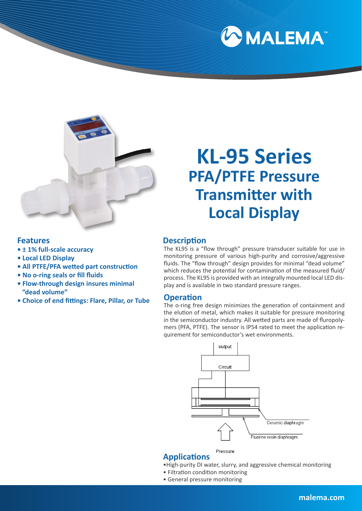



# **KL-95 Series PFA/PTFE Pressure Transmitter with Local Display**

## **Features**

- **± 1% full-scale accuracy**
- **Local LED Display**
- **All PTFE/PFA wetted part construction**
- **No o-ring seals or fill fluids**
- **Flow-through design insures minimal "dead volume"**
- **Choice of end fittings: Flare, Pillar, or Tube**

## **Description**

The KL95 is a "flow through" pressure transducer suitable for use in monitoring pressure of various high-purity and corrosive/aggressive fluids. The "flow through" design provides for minimal "dead volume" which reduces the potential for contamination of the measured fluid/ process. The KL95 is provided with an integrally mounted local LED display and is available in two standard pressure ranges.

### **Operation**

The o-ring free design minimizes the generation of containment and the elution of metal, which makes it suitable for pressure monitoring in the semiconductor industry. All wetted parts are made of fluropolymers (PFA, PTFE). The sensor is IP54 rated to meet the application requirement for semiconductor's wet environments.



#### Pressure **Applications**

- •High-purity DI water, slurry, and aggressive chemical monitoring
- Filtration condition monitoring
- General pressure monitoring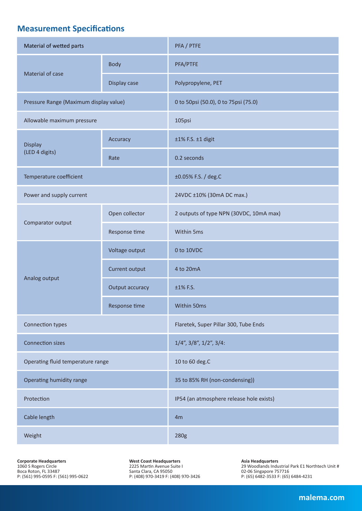## **Measurement Specifications**

| Material of wetted parts               |                 | PFA / PTFE                               |  |  |  |  |
|----------------------------------------|-----------------|------------------------------------------|--|--|--|--|
|                                        | <b>Body</b>     | PFA/PTFE                                 |  |  |  |  |
| Material of case                       | Display case    | Polypropylene, PET                       |  |  |  |  |
| Pressure Range (Maximum display value) |                 | 0 to 50psi (50.0), 0 to 75psi (75.0)     |  |  |  |  |
| Allowable maximum pressure             |                 | 105psi                                   |  |  |  |  |
| <b>Display</b><br>(LED 4 digits)       | Accuracy        | ±1% F.S. ±1 digit                        |  |  |  |  |
|                                        | Rate            | 0.2 seconds                              |  |  |  |  |
| Temperature coefficient                |                 | ±0.05% F.S. / deg.C                      |  |  |  |  |
| Power and supply current               |                 | 24VDC ±10% (30mA DC max.)                |  |  |  |  |
| Comparator output                      | Open collector  | 2 outputs of type NPN (30VDC, 10mA max)  |  |  |  |  |
|                                        | Response time   | Within 5ms                               |  |  |  |  |
| Analog output                          | Voltage output  | 0 to 10VDC                               |  |  |  |  |
|                                        | Current output  | 4 to 20mA                                |  |  |  |  |
|                                        | Output accuracy | ±1% F.S.                                 |  |  |  |  |
|                                        | Response time   | Within 50ms                              |  |  |  |  |
| Connection types                       |                 | Flaretek, Super Pillar 300, Tube Ends    |  |  |  |  |
| <b>Connection sizes</b>                |                 | $1/4$ ", $3/8$ ", $1/2$ ", $3/4$ :       |  |  |  |  |
| Operating fluid temperature range      |                 | 10 to 60 deg.C                           |  |  |  |  |
| Operating humidity range               |                 | 35 to 85% RH (non-condensing))           |  |  |  |  |
| Protection                             |                 | IP54 (an atmosphere release hole exists) |  |  |  |  |
| Cable length                           |                 | 4m                                       |  |  |  |  |
| Weight                                 |                 | 280g                                     |  |  |  |  |

**Corporate Headquarters** 1060 S Rogers Circle Boca Roton, FL 33487 P: (561) 995-0595 F: (561) 995-0622 **West Coast Headquarters** 2225 Martin Avenue Suite I Santa Clara, CA 95050 P: (408) 970-3419 F: (408) 970-3426

**Asia Headquarters** 29 Woodlands Industrial Park E1 Northtech Unit # 02-06 Singapore 757716 P: (65) 6482-3533 F: (65) 6484-4231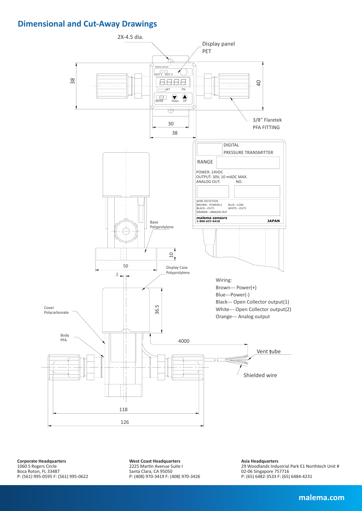## **Dimensional and Cut-Away Drawings**



**Corporate Headquarters** 1060 S Rogers Circle Boca Roton, FL 33487 P: (561) 995-0595 F: (561) 995-0622 **West Coast Headquarters** 2225 Martin Avenue Suite I Santa Clara, CA 95050 P: (408) 970-3419 F: (408) 970-3426 **Asia Headquarters** 29 Woodlands Industrial Park E1 Northtech Unit # 02-06 Singapore 757716 P: (65) 6482-3533 F: (65) 6484-4231